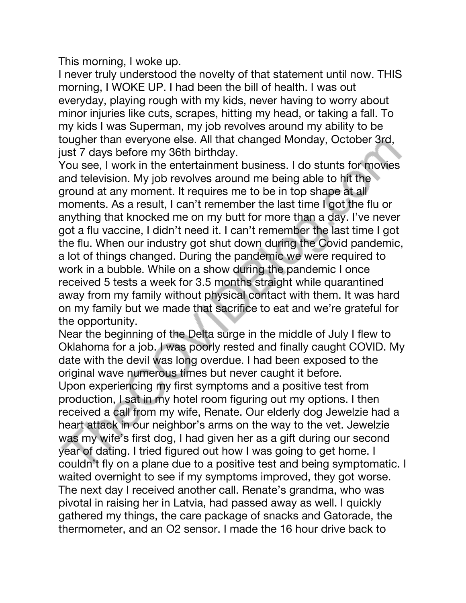This morning, I woke up.

I never truly understood the novelty of that statement until now. THIS morning, I WOKE UP. I had been the bill of health. I was out everyday, playing rough with my kids, never having to worry about minor injuries like cuts, scrapes, hitting my head, or taking a fall. To my kids I was Superman, my job revolves around my ability to be tougher than everyone else. All that changed Monday, October 3rd, just 7 days before my 36th birthday.

You see, I work in the entertainment business. I do stunts for movies and television. My job revolves around me being able to hit the ground at any moment. It requires me to be in top shape at all moments. As a result, I can't remember the last time I got the flu or anything that knocked me on my butt for more than a day. I've never got a flu vaccine, I didn't need it. I can't remember the last time I got the flu. When our industry got shut down during the Covid pandemic, a lot of things changed. During the pandemic we were required to work in a bubble. While on a show during the pandemic I once received 5 tests a week for 3.5 months straight while quarantined away from my family without physical contact with them. It was hard on my family but we made that sacrifice to eat and we're grateful for the opportunity.

Near the beginning of the Delta surge in the middle of July I flew to Oklahoma for a job. I was poorly rested and finally caught COVID. My date with the devil was long overdue. I had been exposed to the original wave numerous times but never caught it before.

Upon experiencing my first symptoms and a positive test from production, I sat in my hotel room figuring out my options. I then received a call from my wife, Renate. Our elderly dog Jewelzie had a heart attack in our neighbor's arms on the way to the vet. Jewelzie was my wife's first dog, I had given her as a gift during our second year of dating. I tried figured out how I was going to get home. I couldn't fly on a plane due to a positive test and being symptomatic. I waited overnight to see if my symptoms improved, they got worse. The next day I received another call. Renate's grandma, who was pivotal in raising her in Latvia, had passed away as well. I quickly gathered my things, the care package of snacks and Gatorade, the thermometer, and an O2 sensor. I made the 16 hour drive back to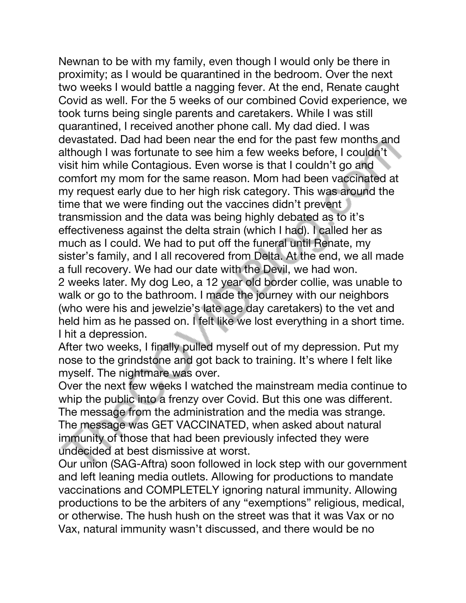Newnan to be with my family, even though I would only be there in proximity; as I would be quarantined in the bedroom. Over the next two weeks I would battle a nagging fever. At the end, Renate caught Covid as well. For the 5 weeks of our combined Covid experience, we took turns being single parents and caretakers. While I was still quarantined, I received another phone call. My dad died. I was devastated. Dad had been near the end for the past few months and although I was fortunate to see him a few weeks before, I couldn't visit him while Contagious. Even worse is that I couldn't go and comfort my mom for the same reason. Mom had been vaccinated at my request early due to her high risk category. This was around the time that we were finding out the vaccines didn't prevent transmission and the data was being highly debated as to it's effectiveness against the delta strain (which I had). I called her as much as I could. We had to put off the funeral until Renate, my sister's family, and I all recovered from Delta. At the end, we all made a full recovery. We had our date with the Devil, we had won. 2 weeks later. My dog Leo, a 12 year old border collie, was unable to walk or go to the bathroom. I made the journey with our neighbors (who were his and jewelzie's late age day caretakers) to the vet and held him as he passed on. I felt like we lost everything in a short time. I hit a depression.

After two weeks, I finally pulled myself out of my depression. Put my nose to the grindstone and got back to training. It's where I felt like myself. The nightmare was over.

Over the next few weeks I watched the mainstream media continue to whip the public into a frenzy over Covid. But this one was different. The message from the administration and the media was strange. The message was GET VACCINATED, when asked about natural immunity of those that had been previously infected they were undecided at best dismissive at worst.

Our union (SAG-Aftra) soon followed in lock step with our government and left leaning media outlets. Allowing for productions to mandate vaccinations and COMPLETELY ignoring natural immunity. Allowing productions to be the arbiters of any "exemptions" religious, medical, or otherwise. The hush hush on the street was that it was Vax or no Vax, natural immunity wasn't discussed, and there would be no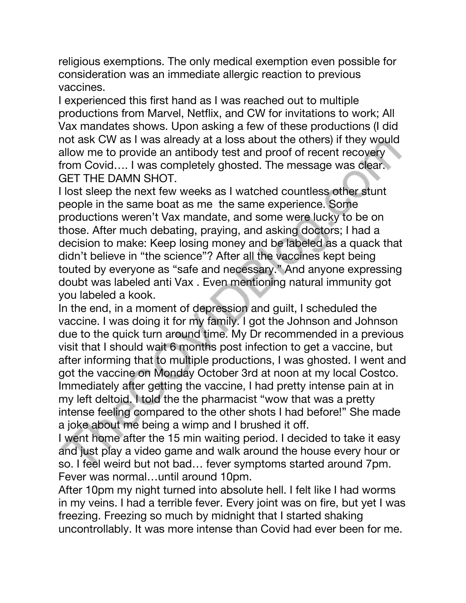religious exemptions. The only medical exemption even possible for consideration was an immediate allergic reaction to previous vaccines.

I experienced this first hand as I was reached out to multiple productions from Marvel, Netflix, and CW for invitations to work; All Vax mandates shows. Upon asking a few of these productions (I did not ask CW as I was already at a loss about the others) if they would allow me to provide an antibody test and proof of recent recovery from Covid…. I was completely ghosted. The message was clear. GET THE DAMN SHOT.

I lost sleep the next few weeks as I watched countless other stunt people in the same boat as me the same experience. Some productions weren't Vax mandate, and some were lucky to be on those. After much debating, praying, and asking doctors; I had a decision to make: Keep losing money and be labeled as a quack that didn't believe in "the science"? After all the vaccines kept being touted by everyone as "safe and necessary." And anyone expressing doubt was labeled anti Vax . Even mentioning natural immunity got you labeled a kook.

In the end, in a moment of depression and guilt, I scheduled the vaccine. I was doing it for my family. I got the Johnson and Johnson due to the quick turn around time. My Dr recommended in a previous visit that I should wait 6 months post infection to get a vaccine, but after informing that to multiple productions, I was ghosted. I went and got the vaccine on Monday October 3rd at noon at my local Costco. Immediately after getting the vaccine, I had pretty intense pain at in my left deltoid. I told the the pharmacist "wow that was a pretty intense feeling compared to the other shots I had before!" She made a joke about me being a wimp and I brushed it off.

I went home after the 15 min waiting period. I decided to take it easy and just play a video game and walk around the house every hour or so. I feel weird but not bad… fever symptoms started around 7pm. Fever was normal…until around 10pm.

After 10pm my night turned into absolute hell. I felt like I had worms in my veins. I had a terrible fever. Every joint was on fire, but yet I was freezing. Freezing so much by midnight that I started shaking uncontrollably. It was more intense than Covid had ever been for me.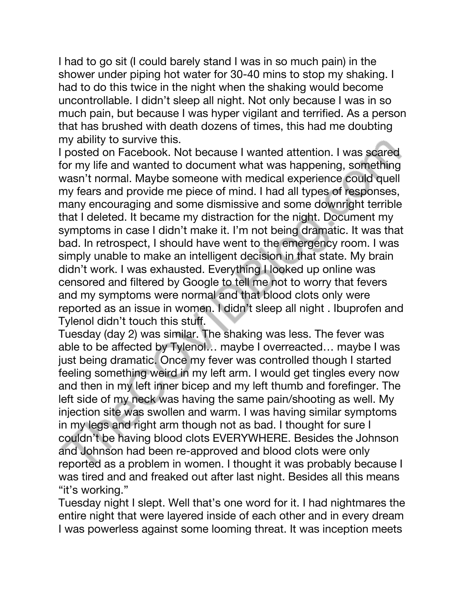I had to go sit (I could barely stand I was in so much pain) in the shower under piping hot water for 30-40 mins to stop my shaking. I had to do this twice in the night when the shaking would become uncontrollable. I didn't sleep all night. Not only because I was in so much pain, but because I was hyper vigilant and terrified. As a person that has brushed with death dozens of times, this had me doubting my ability to survive this.

I posted on Facebook. Not because I wanted attention. I was scared for my life and wanted to document what was happening, something wasn't normal. Maybe someone with medical experience could quell my fears and provide me piece of mind. I had all types of responses, many encouraging and some dismissive and some downright terrible that I deleted. It became my distraction for the night. Document my symptoms in case I didn't make it. I'm not being dramatic. It was that bad. In retrospect, I should have went to the emergency room. I was simply unable to make an intelligent decision in that state. My brain didn't work. I was exhausted. Everything I looked up online was censored and filtered by Google to tell me not to worry that fevers and my symptoms were normal and that blood clots only were reported as an issue in women. I didn't sleep all night . Ibuprofen and Tylenol didn't touch this stuff.

Tuesday (day 2) was similar. The shaking was less. The fever was able to be affected by Tylenol… maybe I overreacted… maybe I was just being dramatic. Once my fever was controlled though I started feeling something weird in my left arm. I would get tingles every now and then in my left inner bicep and my left thumb and forefinger. The left side of my neck was having the same pain/shooting as well. My injection site was swollen and warm. I was having similar symptoms in my legs and right arm though not as bad. I thought for sure I couldn't be having blood clots EVERYWHERE. Besides the Johnson and Johnson had been re-approved and blood clots were only reported as a problem in women. I thought it was probably because I was tired and and freaked out after last night. Besides all this means "it's working."

Tuesday night I slept. Well that's one word for it. I had nightmares the entire night that were layered inside of each other and in every dream I was powerless against some looming threat. It was inception meets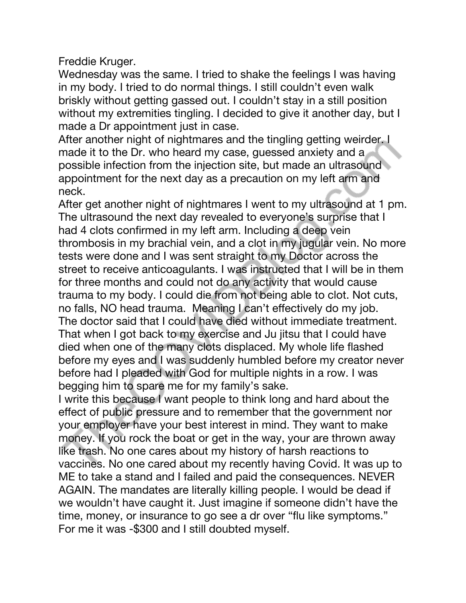Freddie Kruger.

Wednesday was the same. I tried to shake the feelings I was having in my body. I tried to do normal things. I still couldn't even walk briskly without getting gassed out. I couldn't stay in a still position without my extremities tingling. I decided to give it another day, but I made a Dr appointment just in case.

After another night of nightmares and the tingling getting weirder. I made it to the Dr. who heard my case, guessed anxiety and a possible infection from the injection site, but made an ultrasound appointment for the next day as a precaution on my left arm and neck.

After get another night of nightmares I went to my ultrasound at 1 pm. The ultrasound the next day revealed to everyone's surprise that I had 4 clots confirmed in my left arm. Including a deep vein thrombosis in my brachial vein, and a clot in my jugular vein. No more tests were done and I was sent straight to my Doctor across the street to receive anticoagulants. I was instructed that I will be in them for three months and could not do any activity that would cause trauma to my body. I could die from not being able to clot. Not cuts, no falls, NO head trauma. Meaning I can't effectively do my job. The doctor said that I could have died without immediate treatment. That when I got back to my exercise and Ju jitsu that I could have died when one of the many clots displaced. My whole life flashed before my eyes and I was suddenly humbled before my creator never before had I pleaded with God for multiple nights in a row. I was begging him to spare me for my family's sake.

I write this because I want people to think long and hard about the effect of public pressure and to remember that the government nor your employer have your best interest in mind. They want to make money. If you rock the boat or get in the way, your are thrown away like trash. No one cares about my history of harsh reactions to vaccines. No one cared about my recently having Covid. It was up to ME to take a stand and I failed and paid the consequences. NEVER AGAIN. The mandates are literally killing people. I would be dead if we wouldn't have caught it. Just imagine if someone didn't have the time, money, or insurance to go see a dr over "flu like symptoms." For me it was -\$300 and I still doubted myself.